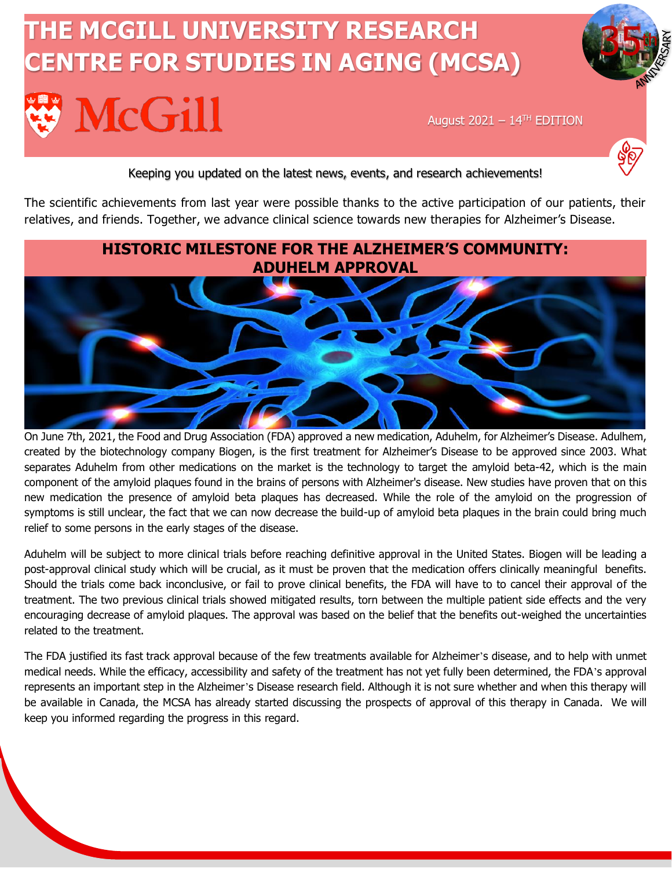# **THE MCGILL UNIVERSITY RESEARCH CENTRE FOR STUDIES IN AGING (MCSA)McGill**

August 2021 –  $14<sup>TH</sup>$  EDITION



35th

#### Keeping you updated on the latest news, events, and research achievements!

The scientific achievements from last year were possible thanks to the active participation of our patients, their relatives, and friends. Together, we advance clinical science towards new therapies for Alzheimer's Disease.



On June 7th, 2021, the Food and Drug Association (FDA) approved a new medication, Aduhelm, for Alzheimer's Disease. Adulhem, created by the biotechnology company Biogen, is the first treatment for Alzheimer's Disease to be approved since 2003. What separates Aduhelm from other medications on the market is the technology to target the amyloid beta-42, which is the main component of the amyloid plaques found in the brains of persons with Alzheimer's disease. New studies have proven that on this new medication the presence of amyloid beta plaques has decreased. While the role of the amyloid on the progression of symptoms is still unclear, the fact that we can now decrease the build-up of amyloid beta plaques in the brain could bring much relief to some persons in the early stages of the disease.

Aduhelm will be subject to more clinical trials before reaching definitive approval in the United States. Biogen will be leading a post-approval clinical study which will be crucial, as it must be proven that the medication offers clinically meaningful benefits. Should the trials come back inconclusive, or fail to prove clinical benefits, the FDA will have to to cancel their approval of the treatment. The two previous clinical trials showed mitigated results, torn between the multiple patient side effects and the very encouraging decrease of amyloid plaques. The approval was based on the belief that the benefits out-weighed the uncertainties related to the treatment.

The FDA justified its fast track approval because of the few treatments available for Alzheimer's disease, and to help with unmet medical needs. While the efficacy, accessibility and safety of the treatment has not yet fully been determined, the FDA's approval represents an important step in the Alzheimer's Disease research field. Although it is not sure whether and when this therapy will be available in Canada, the MCSA has already started discussing the prospects of approval of this therapy in Canada. We will keep you informed regarding the progress in this regard.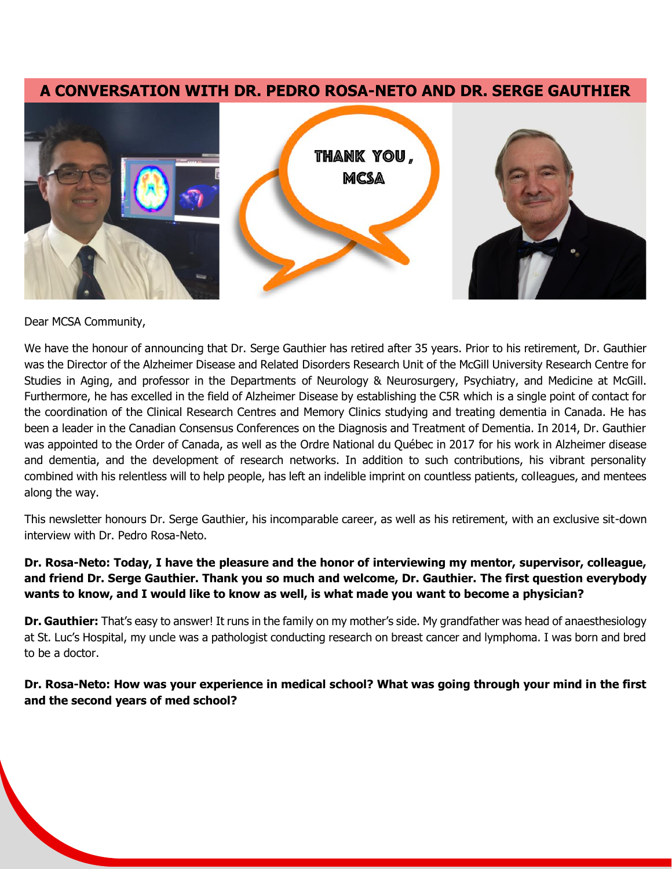#### **A CONVERSATION WITH DR. PEDRO ROSA-NETO AND DR. SERGE GAUTHIER**



Dear MCSA Community,

We have the honour of announcing that Dr. Serge Gauthier has retired after 35 years. Prior to his retirement, Dr. Gauthier was the Director of the Alzheimer Disease and Related Disorders Research Unit of the McGill University Research Centre for Studies in Aging, and professor in the Departments of Neurology & Neurosurgery, Psychiatry, and Medicine at McGill. Furthermore, he has excelled in the field of Alzheimer Disease by establishing the C5R which is a single point of contact for the coordination of the Clinical Research Centres and Memory Clinics studying and treating dementia in Canada. He has been a leader in the Canadian Consensus Conferences on the Diagnosis and Treatment of Dementia. In 2014, Dr. Gauthier was appointed to the Order of Canada, as well as the Ordre National du Québec in 2017 for his work in Alzheimer disease and dementia, and the development of research networks. In addition to such contributions, his vibrant personality combined with his relentless will to help people, has left an indelible imprint on countless patients, colleagues, and mentees along the way.

This newsletter honours Dr. Serge Gauthier, his incomparable career, as well as his retirement, with an exclusive sit-down interview with Dr. Pedro Rosa-Neto.

#### **Dr. Rosa-Neto: Today, I have the pleasure and the honor of interviewing my mentor, supervisor, colleague, and friend Dr. Serge Gauthier. Thank you so much and welcome, Dr. Gauthier. The first question everybody wants to know, and I would like to know as well, is what made you want to become a physician?**

**Dr. Gauthier:** That's easy to answer! It runs in the family on my mother's side. My grandfather was head of anaesthesiology at St. Luc's Hospital, my uncle was a pathologist conducting research on breast cancer and lymphoma. I was born and bred to be a doctor.

**Dr. Rosa-Neto: How was your experience in medical school? What was going through your mind in the first and the second years of med school?**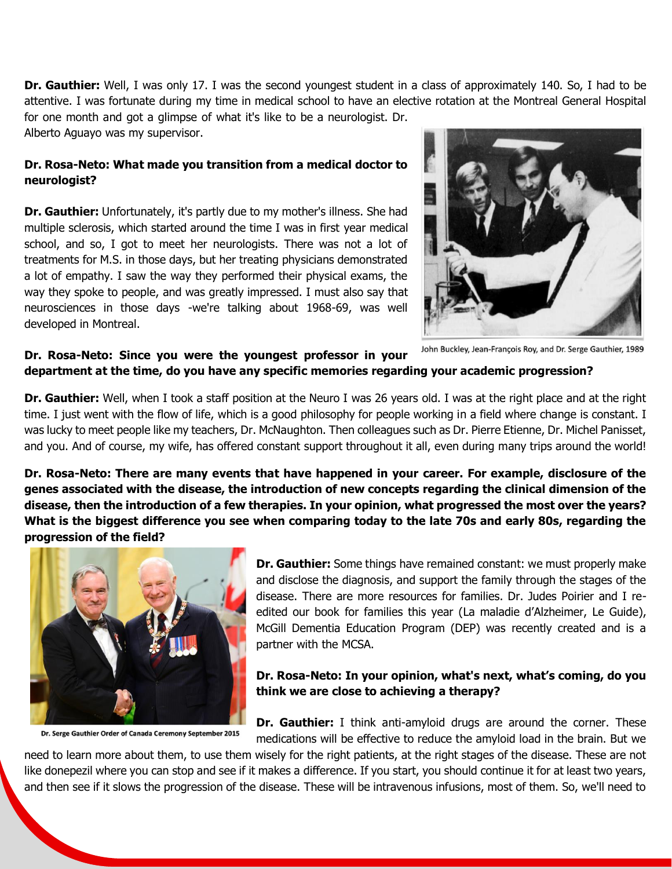**Dr. Gauthier:** Well, I was only 17. I was the second youngest student in a class of approximately 140. So, I had to be attentive. I was fortunate during my time in medical school to have an elective rotation at the Montreal General Hospital for one month and got a glimpse of what it's like to be a neurologist. Dr.

Alberto Aguayo was my supervisor.

#### **Dr. Rosa-Neto: What made you transition from a medical doctor to neurologist?**

**Dr. Gauthier:** Unfortunately, it's partly due to my mother's illness. She had multiple sclerosis, which started around the time I was in first year medical school, and so, I got to meet her neurologists. There was not a lot of treatments for M.S. in those days, but her treating physicians demonstrated a lot of empathy. I saw the way they performed their physical exams, the way they spoke to people, and was greatly impressed. I must also say that neurosciences in those days -we're talking about 1968-69, was well developed in Montreal.



John Buckley, Jean-François Roy, and Dr. Serge Gauthier, 1989

#### **Dr. Rosa-Neto: Since you were the youngest professor in your department at the time, do you have any specific memories regarding your academic progression?**

**Dr. Gauthier:** Well, when I took a staff position at the Neuro I was 26 years old. I was at the right place and at the right time. I just went with the flow of life, which is a good philosophy for people working in a field where change is constant. I was lucky to meet people like my teachers, Dr. McNaughton. Then colleagues such as Dr. Pierre Etienne, Dr. Michel Panisset, and you. And of course, my wife, has offered constant support throughout it all, even during many trips around the world!

**Dr. Rosa-Neto: There are many events that have happened in your career. For example, disclosure of the genes associated with the disease, the introduction of new concepts regarding the clinical dimension of the disease, then the introduction of a few therapies. In your opinion, what progressed the most over the years? What is the biggest difference you see when comparing today to the late 70s and early 80s, regarding the progression of the field?** 



Dr. Serge Gauthier Order of Canada Ceremony September 2015

**Dr. Gauthier:** Some things have remained constant: we must properly make and disclose the diagnosis, and support the family through the stages of the disease. There are more resources for families. Dr. Judes Poirier and I reedited our book for families this year (La maladie d'Alzheimer, Le Guide), McGill Dementia Education Program (DEP) was recently created and is a partner with the MCSA.

#### **Dr. Rosa-Neto: In your opinion, what's next, what's coming, do you think we are close to achieving a therapy?**

**Dr. Gauthier:** I think anti-amyloid drugs are around the corner. These medications will be effective to reduce the amyloid load in the brain. But we

need to learn more about them, to use them wisely for the right patients, at the right stages of the disease. These are not like donepezil where you can stop and see if it makes a difference. If you start, you should continue it for at least two years, and then see if it slows the progression of the disease. These will be intravenous infusions, most of them. So, we'll need to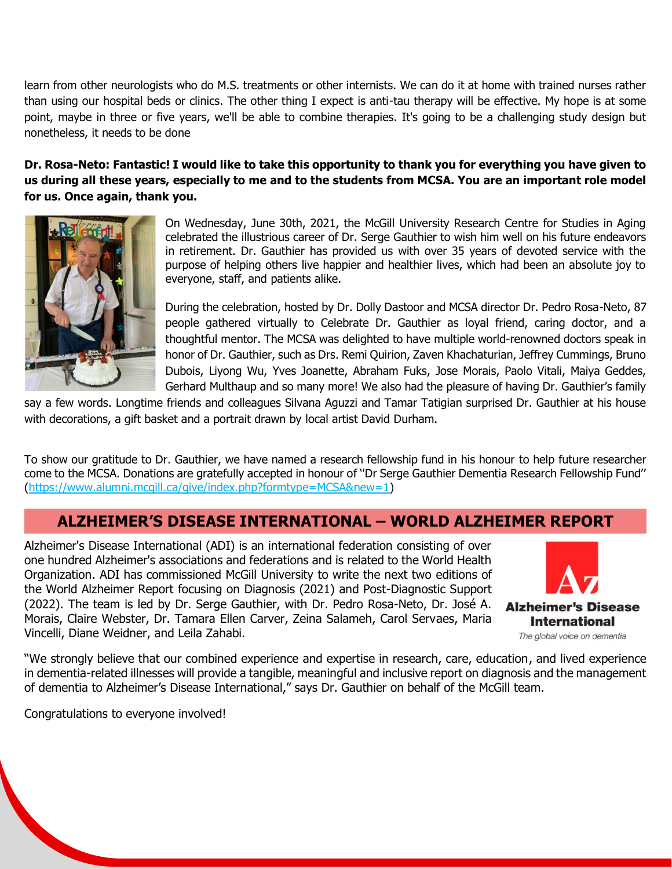learn from other neurologists who do M.S. treatments or other internists. We can do it at home with trained nurses rather than using our hospital beds or clinics. The other thing I expect is anti-tau therapy will be effective. My hope is at some point, maybe in three or five years, we'll be able to combine therapies. It's going to be a challenging study design but nonetheless, it needs to be done

**Dr. Rosa-Neto: Fantastic! I would like to take this opportunity to thank you for everything you have given to us during all these years, especially to me and to the students from MCSA. You are an important role model for us. Once again, thank you.** 



On Wednesday, June 30th, 2021, the McGill University Research Centre for Studies in Aging celebrated the illustrious career of Dr. Serge Gauthier to wish him well on his future endeavors in retirement. Dr. Gauthier has provided us with over 35 years of devoted service with the purpose of helping others live happier and healthier lives, which had been an absolute joy to everyone, staff, and patients alike.

During the celebration, hosted by Dr. Dolly Dastoor and MCSA director Dr. Pedro Rosa-Neto, 87 people gathered virtually to Celebrate Dr. Gauthier as loyal friend, caring doctor, and a thoughtful mentor. The MCSA was delighted to have multiple world-renowned doctors speak in honor of Dr. Gauthier, such as Drs. Remi Quirion, Zaven Khachaturian, Jeffrey Cummings, Bruno Dubois, Liyong Wu, Yves Joanette, Abraham Fuks, Jose Morais, Paolo Vitali, Maiya Geddes, Gerhard Multhaup and so many more! We also had the pleasure of having Dr. Gauthier's family

say a few words. Longtime friends and colleagues Silvana Aguzzi and Tamar Tatigian surprised Dr. Gauthier at his house with decorations, a gift basket and a portrait drawn by local artist David Durham.

To show our gratitude to Dr. Gauthier, we have named a research fellowship fund in his honour to help future researcher come to the MCSA. Donations are gratefully accepted in honour of ''Dr Serge Gauthier Dementia Research Fellowship Fund'' [\(https://www.alumni.mcgill.ca/give/index.php?formtype=MCSA&new=1\)](https://www.alumni.mcgill.ca/give/index.php?formtype=MCSA&new=1)

# **ALZHEIMER'S DISEASE INTERNATIONAL – WORLD ALZHEIMER REPORT**

Alzheimer's Disease International (ADI) is an international federation consisting of over one hundred Alzheimer's associations and federations and is related to the World Health Organization. ADI has commissioned McGill University to write the next two editions of the World Alzheimer Report focusing on Diagnosis (2021) and Post-Diagnostic Support (2022). The team is led by Dr. Serge Gauthier, with Dr. Pedro Rosa-Neto, Dr. José A. Morais, Claire Webster, Dr. Tamara Ellen Carver, Zeina Salameh, Carol Servaes, Maria Vincelli, Diane Weidner, and Leila Zahabi.



The global voice on dementia

"We strongly believe that our combined experience and expertise in research, care, education, and lived experience in dementia-related illnesses will provide a tangible, meaningful and inclusive report on diagnosis and the management of dementia to Alzheimer's Disease International," says Dr. Gauthier on behalf of the McGill team.

Congratulations to everyone involved!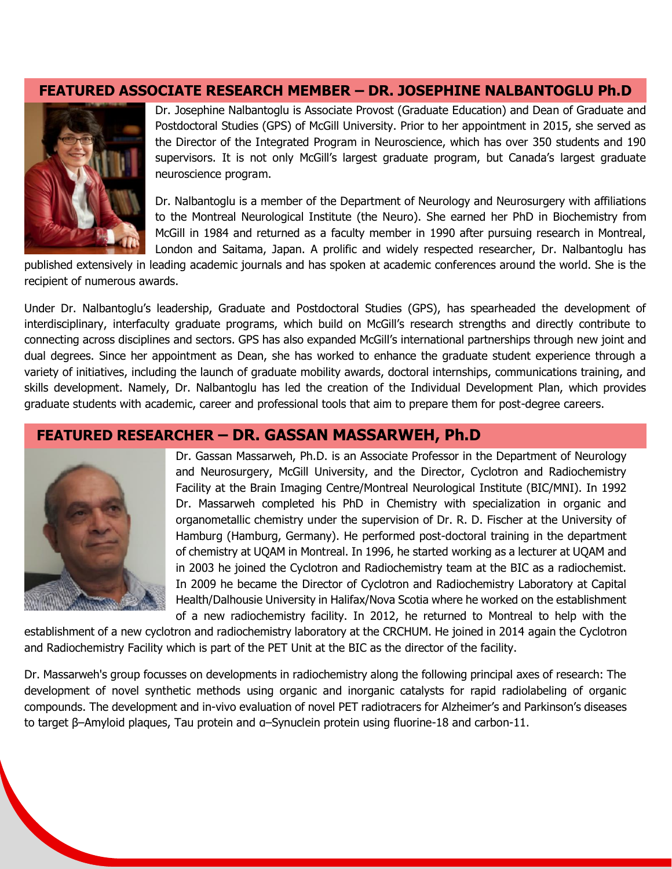#### **FEATURED ASSOCIATE RESEARCH MEMBER – DR. JOSEPHINE NALBANTOGLU Ph.D**



Dr. Josephine Nalbantoglu is Associate Provost (Graduate Education) and Dean of Graduate and Postdoctoral Studies (GPS) of McGill University. Prior to her appointment in 2015, she served as the Director of the Integrated Program in Neuroscience, which has over 350 students and 190 supervisors. It is not only McGill's largest graduate program, but Canada's largest graduate neuroscience program.

Dr. Nalbantoglu is a member of the Department of Neurology and Neurosurgery with affiliations to the Montreal Neurological Institute (the Neuro). She earned her PhD in Biochemistry from McGill in 1984 and returned as a faculty member in 1990 after pursuing research in Montreal, London and Saitama, Japan. A prolific and widely respected researcher, Dr. Nalbantoglu has

published extensively in leading academic journals and has spoken at academic conferences around the world. She is the recipient of numerous awards.

Under Dr. Nalbantoglu's leadership, Graduate and Postdoctoral Studies (GPS), has spearheaded the development of interdisciplinary, interfaculty graduate programs, which build on McGill's research strengths and directly contribute to connecting across disciplines and sectors. GPS has also expanded McGill's international partnerships through new joint and dual degrees. Since her appointment as Dean, she has worked to enhance the graduate student experience through a variety of initiatives, including the launch of graduate mobility awards, doctoral internships, communications training, and skills development. Namely, Dr. Nalbantoglu has led the creation of the Individual Development Plan, which provides graduate students with academic, career and professional tools that aim to prepare them for post-degree careers.

#### **FEATURED RESEARCHER – DR. GASSAN MASSARWEH, Ph.D**



Dr. Gassan Massarweh, Ph.D. is an Associate Professor in the Department of Neurology and Neurosurgery, McGill University, and the Director, Cyclotron and Radiochemistry Facility at the Brain Imaging Centre/Montreal Neurological Institute (BIC/MNI). In 1992 Dr. Massarweh completed his PhD in Chemistry with specialization in organic and organometallic chemistry under the supervision of Dr. R. D. Fischer at the University of Hamburg (Hamburg, Germany). He performed post-doctoral training in the department of chemistry at UQAM in Montreal. In 1996, he started working as a lecturer at UQAM and in 2003 he joined the Cyclotron and Radiochemistry team at the BIC as a radiochemist. In 2009 he became the Director of Cyclotron and Radiochemistry Laboratory at Capital Health/Dalhousie University in Halifax/Nova Scotia where he worked on the establishment of a new radiochemistry facility. In 2012, he returned to Montreal to help with the

establishment of a new cyclotron and radiochemistry laboratory at the CRCHUM. He joined in 2014 again the Cyclotron and Radiochemistry Facility which is part of the PET Unit at the BIC as the director of the facility.

Dr. Massarweh's group focusses on developments in radiochemistry along the following principal axes of research: The development of novel synthetic methods using organic and inorganic catalysts for rapid radiolabeling of organic compounds. The development and in-vivo evaluation of novel PET radiotracers for Alzheimer's and Parkinson's diseases to target β–Amyloid plaques, Tau protein and α–Synuclein protein using fluorine-18 and carbon-11.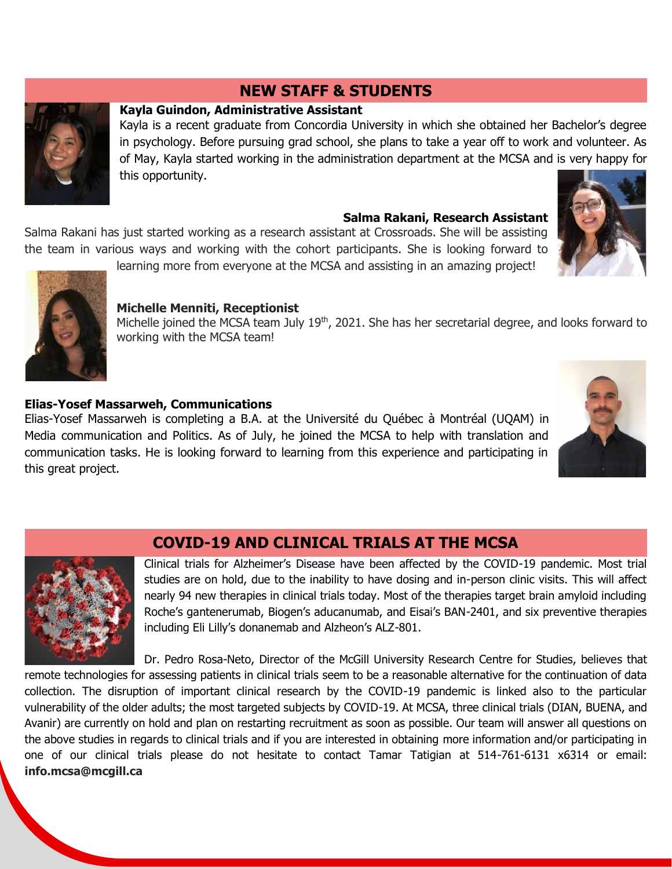# **NEW STAFF & STUDENTS**

#### **Kayla Guindon, Administrative Assistant**

Kayla is a recent graduate from Concordia University in which she obtained her Bachelor's degree in psychology. Before pursuing grad school, she plans to take a year off to work and volunteer. As of May, Kayla started working in the administration department at the MCSA and is very happy for this opportunity.

#### **Salma Rakani, Research Assistant**

Salma Rakani has just started working as a research assistant at Crossroads. She will be assisting the team in various ways and working with the cohort participants. She is looking forward to





### learning more from everyone at the MCSA and assisting in an amazing project!

#### **Michelle Menniti, Receptionist**

Michelle joined the MCSA team July 19<sup>th</sup>, 2021. She has her secretarial degree, and looks forward to working with the MCSA team!

#### **Elias-Yosef Massarweh, Communications**

Elias-Yosef Massarweh is completing a B.A. at the Université du Québec à Montréal (UQAM) in Media communication and Politics. As of July, he joined the MCSA to help with translation and communication tasks. He is looking forward to learning from this experience and participating in this great project.





# **COVID-19 AND CLINICAL TRIALS AT THE MCSA**

Clinical trials for Alzheimer's Disease have been affected by the COVID-19 pandemic. Most trial studies are on hold, due to the inability to have dosing and in-person clinic visits. This will affect nearly 94 new therapies in clinical trials today. Most of the therapies target brain amyloid including Roche's gantenerumab, Biogen's aducanumab, and Eisai's BAN-2401, and six preventive therapies including Eli Lilly's donanemab and Alzheon's ALZ-801.

Dr. Pedro Rosa-Neto, Director of the McGill University Research Centre for Studies, believes that remote technologies for assessing patients in clinical trials seem to be a reasonable alternative for the continuation of data collection. The disruption of important clinical research by the COVID-19 pandemic is linked also to the particular vulnerability of the older adults; the most targeted subjects by COVID-19. At MCSA, three clinical trials (DIAN, BUENA, and Avanir) are currently on hold and plan on restarting recruitment as soon as possible. Our team will answer all questions on the above studies in regards to clinical trials and if you are interested in obtaining more information and/or participating in one of our clinical trials please do not hesitate to contact Tamar Tatigian at 514-761-6131 x6314 or email: **info.mcsa@mcgill.ca**

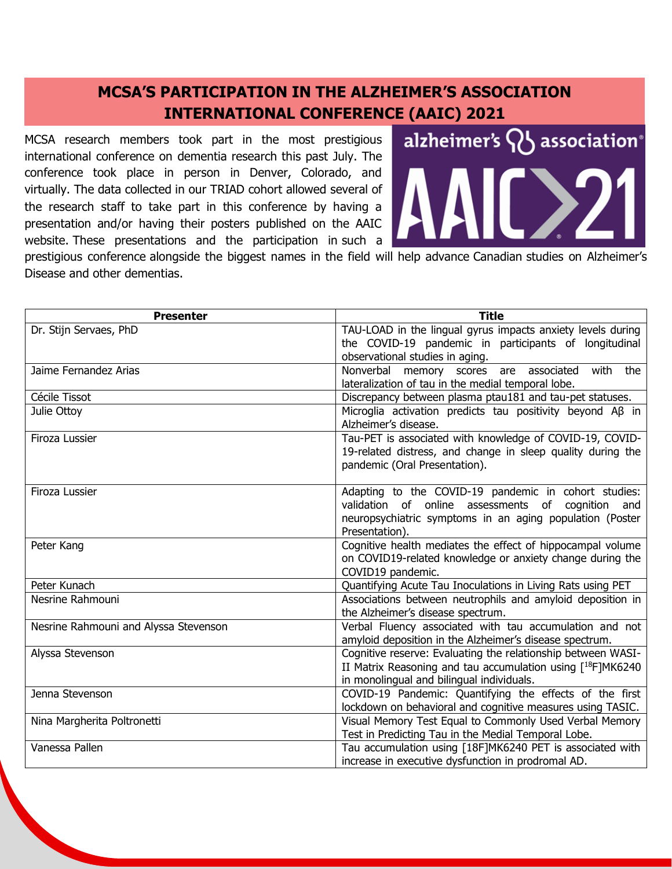# **MCSA'S PARTICIPATION IN THE ALZHEIMER'S ASSOCIATION INTERNATIONAL CONFERENCE (AAIC) 2021**

MCSA research members took part in the most prestigious international conference on dementia research this past July. The conference took place in person in Denver, Colorado, and virtually. The data collected in our TRIAD cohort allowed several of the research staff to take part in this conference by having a presentation and/or having their posters published on the AAIC website. These presentations and the participation in such a



prestigious conference alongside the biggest names in the field will help advance Canadian studies on Alzheimer's Disease and other dementias.

| <b>Presenter</b>                      | <b>Title</b>                                                                                                          |
|---------------------------------------|-----------------------------------------------------------------------------------------------------------------------|
| Dr. Stijn Servaes, PhD                | TAU-LOAD in the lingual gyrus impacts anxiety levels during<br>the COVID-19 pandemic in participants of longitudinal  |
|                                       | observational studies in aging.                                                                                       |
| Jaime Fernandez Arias                 | with<br>Nonverbal memory<br>scores are associated<br>the                                                              |
|                                       | lateralization of tau in the medial temporal lobe.                                                                    |
| Cécile Tissot                         | Discrepancy between plasma ptau181 and tau-pet statuses.                                                              |
| Julie Ottoy                           | Microglia activation predicts tau positivity beyond AB in<br>Alzheimer's disease.                                     |
| Firoza Lussier                        | Tau-PET is associated with knowledge of COVID-19, COVID-                                                              |
|                                       | 19-related distress, and change in sleep quality during the                                                           |
|                                       | pandemic (Oral Presentation).                                                                                         |
| Firoza Lussier                        | Adapting to the COVID-19 pandemic in cohort studies:                                                                  |
|                                       | validation of online assessments of cognition<br>and                                                                  |
|                                       | neuropsychiatric symptoms in an aging population (Poster                                                              |
|                                       | Presentation).                                                                                                        |
| Peter Kang                            | Cognitive health mediates the effect of hippocampal volume                                                            |
|                                       | on COVID19-related knowledge or anxiety change during the                                                             |
|                                       | COVID19 pandemic.                                                                                                     |
| Peter Kunach                          | Quantifying Acute Tau Inoculations in Living Rats using PET                                                           |
| Nesrine Rahmouni                      | Associations between neutrophils and amyloid deposition in                                                            |
|                                       | the Alzheimer's disease spectrum.                                                                                     |
| Nesrine Rahmouni and Alyssa Stevenson | Verbal Fluency associated with tau accumulation and not                                                               |
|                                       | amyloid deposition in the Alzheimer's disease spectrum.                                                               |
| Alyssa Stevenson                      | Cognitive reserve: Evaluating the relationship between WASI-                                                          |
|                                       | II Matrix Reasoning and tau accumulation using $[18F]MK6240$                                                          |
|                                       | in monolingual and bilingual individuals.                                                                             |
| Jenna Stevenson                       | COVID-19 Pandemic: Quantifying the effects of the first                                                               |
|                                       | lockdown on behavioral and cognitive measures using TASIC.<br>Visual Memory Test Equal to Commonly Used Verbal Memory |
| Nina Margherita Poltronetti           | Test in Predicting Tau in the Medial Temporal Lobe.                                                                   |
| Vanessa Pallen                        | Tau accumulation using [18F]MK6240 PET is associated with                                                             |
|                                       | increase in executive dysfunction in prodromal AD.                                                                    |
|                                       |                                                                                                                       |